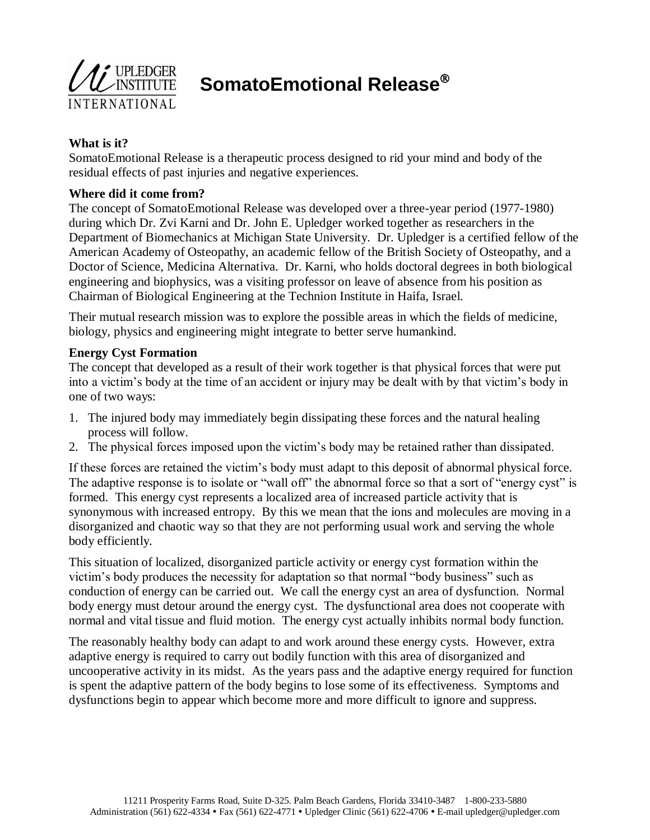

**SomatoEmotional Release**

# **What is it?**

SomatoEmotional Release is a therapeutic process designed to rid your mind and body of the residual effects of past injuries and negative experiences.

# **Where did it come from?**

The concept of SomatoEmotional Release was developed over a three-year period (1977-1980) during which Dr. Zvi Karni and Dr. John E. Upledger worked together as researchers in the Department of Biomechanics at Michigan State University. Dr. Upledger is a certified fellow of the American Academy of Osteopathy, an academic fellow of the British Society of Osteopathy, and a Doctor of Science, Medicina Alternativa. Dr. Karni, who holds doctoral degrees in both biological engineering and biophysics, was a visiting professor on leave of absence from his position as Chairman of Biological Engineering at the Technion Institute in Haifa, Israel.

Their mutual research mission was to explore the possible areas in which the fields of medicine, biology, physics and engineering might integrate to better serve humankind.

### **Energy Cyst Formation**

The concept that developed as a result of their work together is that physical forces that were put into a victim's body at the time of an accident or injury may be dealt with by that victim's body in one of two ways:

- 1. The injured body may immediately begin dissipating these forces and the natural healing process will follow.
- 2. The physical forces imposed upon the victim's body may be retained rather than dissipated.

If these forces are retained the victim's body must adapt to this deposit of abnormal physical force. The adaptive response is to isolate or "wall off" the abnormal force so that a sort of "energy cyst" is formed. This energy cyst represents a localized area of increased particle activity that is synonymous with increased entropy. By this we mean that the ions and molecules are moving in a disorganized and chaotic way so that they are not performing usual work and serving the whole body efficiently.

This situation of localized, disorganized particle activity or energy cyst formation within the victim's body produces the necessity for adaptation so that normal "body business" such as conduction of energy can be carried out. We call the energy cyst an area of dysfunction. Normal body energy must detour around the energy cyst. The dysfunctional area does not cooperate with normal and vital tissue and fluid motion. The energy cyst actually inhibits normal body function.

The reasonably healthy body can adapt to and work around these energy cysts. However, extra adaptive energy is required to carry out bodily function with this area of disorganized and uncooperative activity in its midst. As the years pass and the adaptive energy required for function is spent the adaptive pattern of the body begins to lose some of its effectiveness. Symptoms and dysfunctions begin to appear which become more and more difficult to ignore and suppress.